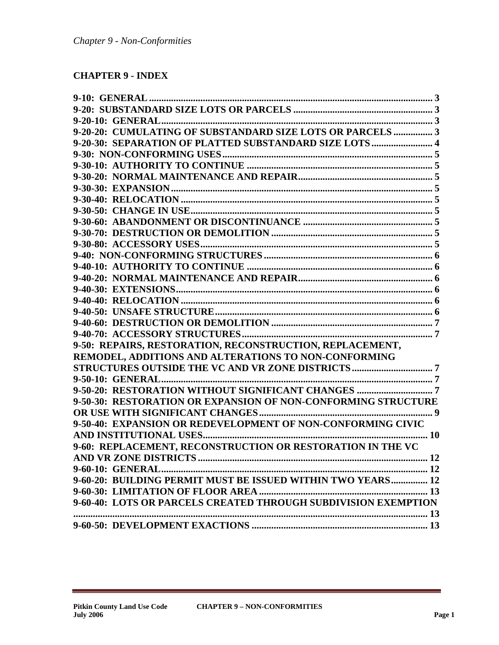# **CHAPTER 9 - INDEX**

| 9-20-20: CUMULATING OF SUBSTANDARD SIZE LOTS OR PARCELS  3     |
|----------------------------------------------------------------|
| 9-20-30: SEPARATION OF PLATTED SUBSTANDARD SIZE LOTS 4         |
|                                                                |
|                                                                |
|                                                                |
|                                                                |
|                                                                |
|                                                                |
|                                                                |
|                                                                |
|                                                                |
|                                                                |
|                                                                |
|                                                                |
|                                                                |
|                                                                |
|                                                                |
|                                                                |
|                                                                |
| 9-50: REPAIRS, RESTORATION, RECONSTRUCTION, REPLACEMENT,       |
| REMODEL, ADDITIONS AND ALTERATIONS TO NON-CONFORMING           |
|                                                                |
|                                                                |
| 9-50-20: RESTORATION WITHOUT SIGNIFICANT CHANGES  7            |
| 9-50-30: RESTORATION OR EXPANSION OF NON-CONFORMING STRUCTURE  |
|                                                                |
| 9-50-40: EXPANSION OR REDEVELOPMENT OF NON-CONFORMING CIVIC    |
|                                                                |
| 9-60: REPLACEMENT, RECONSTRUCTION OR RESTORATION IN THE VC     |
|                                                                |
|                                                                |
| 9-60-20: BUILDING PERMIT MUST BE ISSUED WITHIN TWO YEARS 12    |
|                                                                |
| 9-60-40: LOTS OR PARCELS CREATED THROUGH SUBDIVISION EXEMPTION |
|                                                                |
|                                                                |
|                                                                |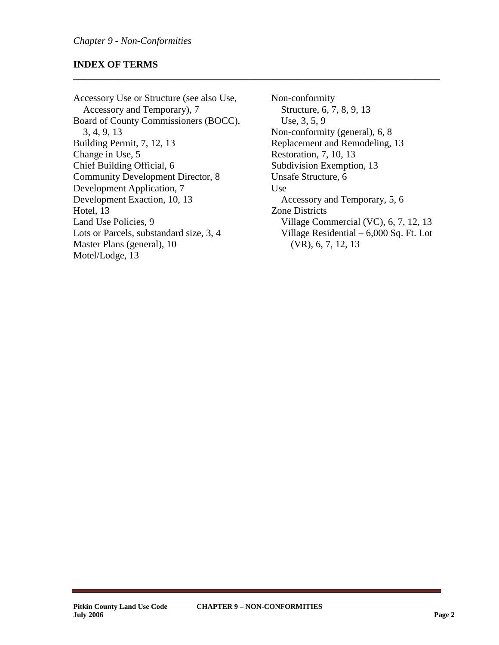### **INDEX OF TERMS**

Accessory Use or Structure (see also Use, Accessory and Temporary), 7 Board of County Commissioners (BOCC), 3, 4, 9, 13 Building Permit, 7, 12, 13 Change in Use, 5 Chief Building Official, 6 Community Development Director, 8 Development Application, 7 Development Exaction, 10, 13 Hotel, 13 Land Use Policies, 9 Lots or Parcels, substandard size, 3, 4 Master Plans (general), 10 Motel/Lodge, 13

Non-conformity Structure, 6, 7, 8, 9, 13 Use, 3, 5, 9 Non-conformity (general), 6, 8 Replacement and Remodeling, 13 Restoration, 7, 10, 13 Subdivision Exemption, 13 Unsafe Structure, 6 Use Accessory and Temporary, 5, 6 Zone Districts Village Commercial (VC), 6, 7, 12, 13 Village Residential – 6,000 Sq. Ft. Lot (VR), 6, 7, 12, 13

**\_\_\_\_\_\_\_\_\_\_\_\_\_\_\_\_\_\_\_\_\_\_\_\_\_\_\_\_\_\_\_\_\_\_\_\_\_\_\_\_\_\_\_\_\_\_\_\_\_\_\_\_\_\_\_\_\_\_\_\_\_\_\_\_\_\_\_\_\_\_\_\_\_\_\_**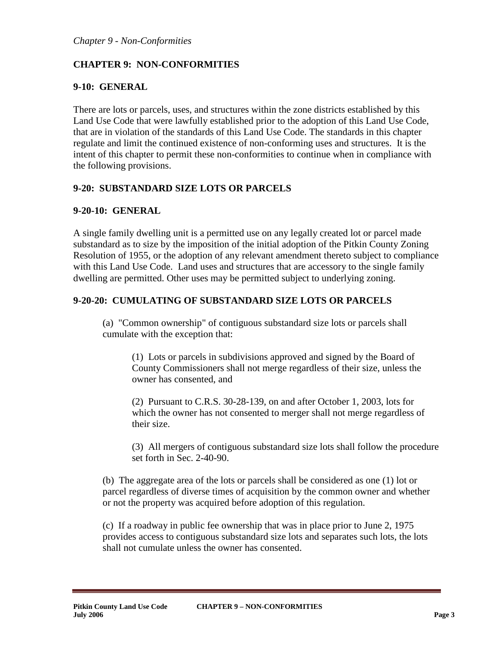# **CHAPTER 9: NON-CONFORMITIES**

#### <span id="page-2-0"></span>**9-10: GENERAL**

There are lots or parcels, uses, and structures within the zone districts established by this Land Use Code that were lawfully established prior to the adoption of this Land Use Code, that are in violation of the standards of this Land Use Code. The standards in this chapter regulate and limit the continued existence of non-conforming uses and structures. It is the intent of this chapter to permit these non-conformities to continue when in compliance with the following provisions.

### <span id="page-2-1"></span>**9-20: SUBSTANDARD SIZE LOTS OR PARCELS**

### <span id="page-2-2"></span>**9-20-10: GENERAL**

A single family dwelling unit is a permitted use on any legally created lot or parcel made substandard as to size by the imposition of the initial adoption of the Pitkin County Zoning Resolution of 1955, or the adoption of any relevant amendment thereto subject to compliance with this Land Use Code. Land uses and structures that are accessory to the single family dwelling are permitted. Other uses may be permitted subject to underlying zoning.

### <span id="page-2-3"></span>**9-20-20: CUMULATING OF SUBSTANDARD SIZE LOTS OR PARCELS**

(a) "Common ownership" of contiguous substandard size lots or parcels shall cumulate with the exception that:

(1) Lots or parcels in subdivisions approved and signed by the Board of County Commissioners shall not merge regardless of their size, unless the owner has consented, and

(2) Pursuant to C.R.S. 30-28-139, on and after October 1, 2003, lots for which the owner has not consented to merger shall not merge regardless of their size.

(3) All mergers of contiguous substandard size lots shall follow the procedure set forth in Sec. 2-40-90.

(b) The aggregate area of the lots or parcels shall be considered as one (1) lot or parcel regardless of diverse times of acquisition by the common owner and whether or not the property was acquired before adoption of this regulation.

(c) If a roadway in public fee ownership that was in place prior to June 2, 1975 provides access to contiguous substandard size lots and separates such lots, the lots shall not cumulate unless the owner has consented.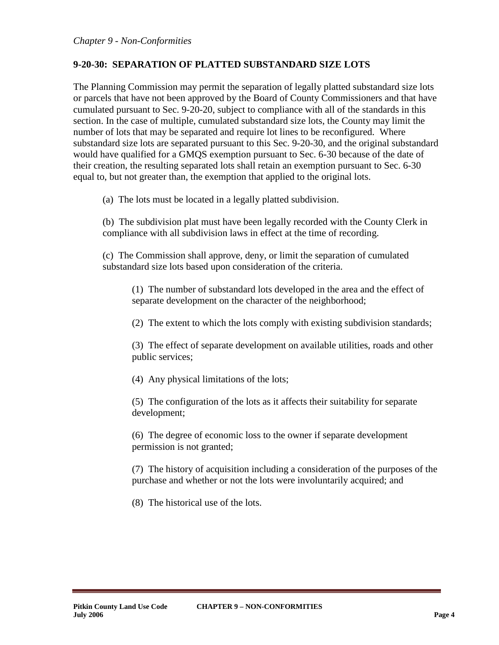# <span id="page-3-0"></span>**9-20-30: SEPARATION OF PLATTED SUBSTANDARD SIZE LOTS**

The Planning Commission may permit the separation of legally platted substandard size lots or parcels that have not been approved by the Board of County Commissioners and that have cumulated pursuant to Sec. 9-20-20, subject to compliance with all of the standards in this section. In the case of multiple, cumulated substandard size lots, the County may limit the number of lots that may be separated and require lot lines to be reconfigured. Where substandard size lots are separated pursuant to this Sec. 9-20-30, and the original substandard would have qualified for a GMQS exemption pursuant to Sec. 6-30 because of the date of their creation, the resulting separated lots shall retain an exemption pursuant to Sec. 6-30 equal to, but not greater than, the exemption that applied to the original lots.

(a) The lots must be located in a legally platted subdivision.

(b) The subdivision plat must have been legally recorded with the County Clerk in compliance with all subdivision laws in effect at the time of recording.

(c) The Commission shall approve, deny, or limit the separation of cumulated substandard size lots based upon consideration of the criteria.

(1) The number of substandard lots developed in the area and the effect of separate development on the character of the neighborhood;

(2) The extent to which the lots comply with existing subdivision standards;

(3) The effect of separate development on available utilities, roads and other public services;

(4) Any physical limitations of the lots;

(5) The configuration of the lots as it affects their suitability for separate development;

(6) The degree of economic loss to the owner if separate development permission is not granted;

(7) The history of acquisition including a consideration of the purposes of the purchase and whether or not the lots were involuntarily acquired; and

(8) The historical use of the lots.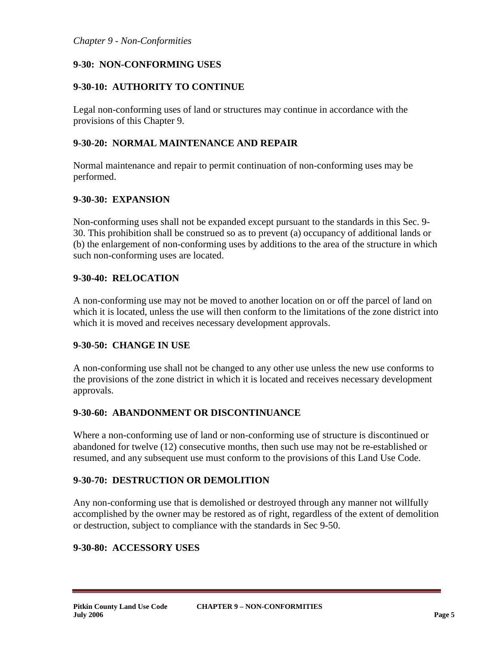# <span id="page-4-0"></span>**9-30: NON-CONFORMING USES**

# <span id="page-4-1"></span>**9-30-10: AUTHORITY TO CONTINUE**

Legal non-conforming uses of land or structures may continue in accordance with the provisions of this Chapter 9.

# <span id="page-4-2"></span>**9-30-20: NORMAL MAINTENANCE AND REPAIR**

Normal maintenance and repair to permit continuation of non-conforming uses may be performed.

### <span id="page-4-3"></span>**9-30-30: EXPANSION**

Non-conforming uses shall not be expanded except pursuant to the standards in this Sec. 9- 30. This prohibition shall be construed so as to prevent (a) occupancy of additional lands or (b) the enlargement of non-conforming uses by additions to the area of the structure in which such non-conforming uses are located.

### <span id="page-4-4"></span>**9-30-40: RELOCATION**

A non-conforming use may not be moved to another location on or off the parcel of land on which it is located, unless the use will then conform to the limitations of the zone district into which it is moved and receives necessary development approvals.

### <span id="page-4-5"></span>**9-30-50: CHANGE IN USE**

A non-conforming use shall not be changed to any other use unless the new use conforms to the provisions of the zone district in which it is located and receives necessary development approvals.

### <span id="page-4-6"></span>**9-30-60: ABANDONMENT OR DISCONTINUANCE**

Where a non-conforming use of land or non-conforming use of structure is discontinued or abandoned for twelve (12) consecutive months, then such use may not be re-established or resumed, and any subsequent use must conform to the provisions of this Land Use Code.

### <span id="page-4-7"></span>**9-30-70: DESTRUCTION OR DEMOLITION**

Any non-conforming use that is demolished or destroyed through any manner not willfully accomplished by the owner may be restored as of right, regardless of the extent of demolition or destruction, subject to compliance with the standards in Sec 9-50.

### <span id="page-4-8"></span>**9-30-80: ACCESSORY USES**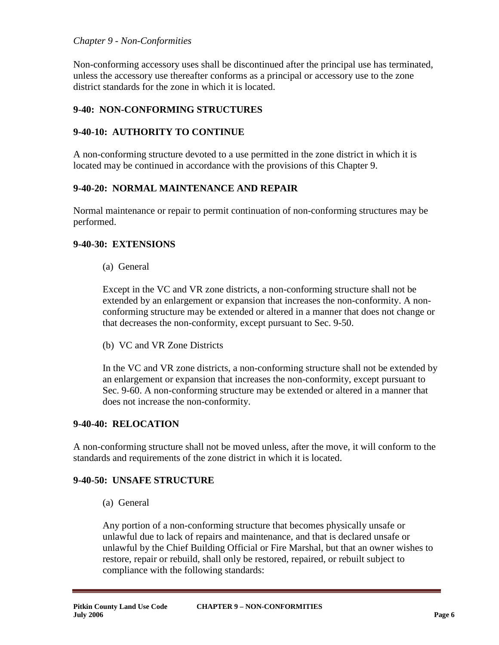#### *Chapter 9 - Non-Conformities*

Non-conforming accessory uses shall be discontinued after the principal use has terminated, unless the accessory use thereafter conforms as a principal or accessory use to the zone district standards for the zone in which it is located.

# <span id="page-5-0"></span>**9-40: NON-CONFORMING STRUCTURES**

# <span id="page-5-1"></span>**9-40-10: AUTHORITY TO CONTINUE**

A non-conforming structure devoted to a use permitted in the zone district in which it is located may be continued in accordance with the provisions of this Chapter 9.

### <span id="page-5-2"></span>**9-40-20: NORMAL MAINTENANCE AND REPAIR**

Normal maintenance or repair to permit continuation of non-conforming structures may be performed.

#### <span id="page-5-3"></span>**9-40-30: EXTENSIONS**

(a) General

Except in the VC and VR zone districts, a non-conforming structure shall not be extended by an enlargement or expansion that increases the non-conformity. A nonconforming structure may be extended or altered in a manner that does not change or that decreases the non-conformity, except pursuant to Sec. 9-50.

(b) VC and VR Zone Districts

In the VC and VR zone districts, a non-conforming structure shall not be extended by an enlargement or expansion that increases the non-conformity, except pursuant to Sec. 9-60. A non-conforming structure may be extended or altered in a manner that does not increase the non-conformity.

#### <span id="page-5-4"></span>**9-40-40: RELOCATION**

A non-conforming structure shall not be moved unless, after the move, it will conform to the standards and requirements of the zone district in which it is located.

#### <span id="page-5-5"></span>**9-40-50: UNSAFE STRUCTURE**

(a) General

Any portion of a non-conforming structure that becomes physically unsafe or unlawful due to lack of repairs and maintenance, and that is declared unsafe or unlawful by the Chief Building Official or Fire Marshal, but that an owner wishes to restore, repair or rebuild, shall only be restored, repaired, or rebuilt subject to compliance with the following standards: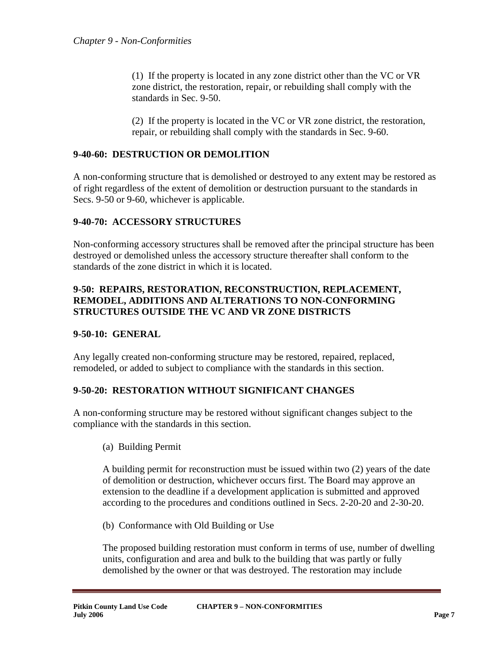(1) If the property is located in any zone district other than the VC or VR zone district, the restoration, repair, or rebuilding shall comply with the standards in Sec. 9-50.

(2) If the property is located in the VC or VR zone district, the restoration, repair, or rebuilding shall comply with the standards in Sec. 9-60.

# <span id="page-6-0"></span>**9-40-60: DESTRUCTION OR DEMOLITION**

A non-conforming structure that is demolished or destroyed to any extent may be restored as of right regardless of the extent of demolition or destruction pursuant to the standards in Secs. 9-50 or 9-60, whichever is applicable.

# <span id="page-6-1"></span>**9-40-70: ACCESSORY STRUCTURES**

Non-conforming accessory structures shall be removed after the principal structure has been destroyed or demolished unless the accessory structure thereafter shall conform to the standards of the zone district in which it is located.

# <span id="page-6-2"></span>**9-50: REPAIRS, RESTORATION, RECONSTRUCTION, REPLACEMENT, REMODEL, ADDITIONS AND ALTERATIONS TO NON-CONFORMING STRUCTURES OUTSIDE THE VC AND VR ZONE DISTRICTS**

### <span id="page-6-3"></span>**9-50-10: GENERAL**

Any legally created non-conforming structure may be restored, repaired, replaced, remodeled, or added to subject to compliance with the standards in this section.

### <span id="page-6-4"></span>**9-50-20: RESTORATION WITHOUT SIGNIFICANT CHANGES**

A non-conforming structure may be restored without significant changes subject to the compliance with the standards in this section.

(a) Building Permit

A building permit for reconstruction must be issued within two (2) years of the date of demolition or destruction, whichever occurs first. The Board may approve an extension to the deadline if a development application is submitted and approved according to the procedures and conditions outlined in Secs. 2-20-20 and 2-30-20.

(b) Conformance with Old Building or Use

The proposed building restoration must conform in terms of use, number of dwelling units, configuration and area and bulk to the building that was partly or fully demolished by the owner or that was destroyed. The restoration may include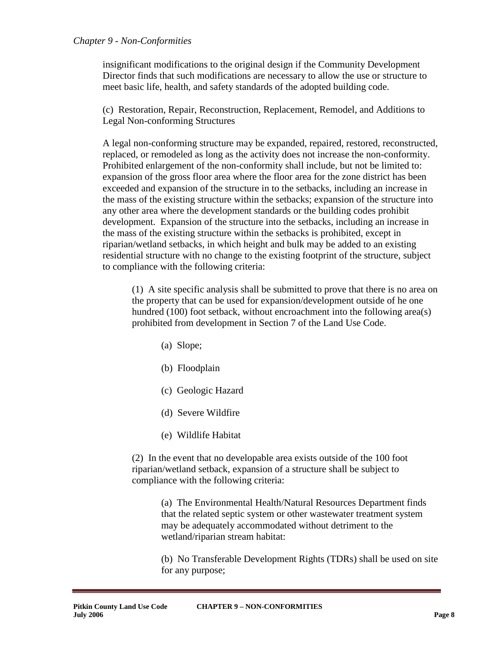#### *Chapter 9 - Non-Conformities*

insignificant modifications to the original design if the Community Development Director finds that such modifications are necessary to allow the use or structure to meet basic life, health, and safety standards of the adopted building code.

(c) Restoration, Repair, Reconstruction, Replacement, Remodel, and Additions to Legal Non-conforming Structures

A legal non-conforming structure may be expanded, repaired, restored, reconstructed, replaced, or remodeled as long as the activity does not increase the non-conformity. Prohibited enlargement of the non-conformity shall include, but not be limited to: expansion of the gross floor area where the floor area for the zone district has been exceeded and expansion of the structure in to the setbacks, including an increase in the mass of the existing structure within the setbacks; expansion of the structure into any other area where the development standards or the building codes prohibit development. Expansion of the structure into the setbacks, including an increase in the mass of the existing structure within the setbacks is prohibited, except in riparian/wetland setbacks, in which height and bulk may be added to an existing residential structure with no change to the existing footprint of the structure, subject to compliance with the following criteria:

(1) A site specific analysis shall be submitted to prove that there is no area on the property that can be used for expansion/development outside of he one hundred (100) foot setback, without encroachment into the following area(s) prohibited from development in Section 7 of the Land Use Code.

- (a) Slope;
- (b) Floodplain
- (c) Geologic Hazard
- (d) Severe Wildfire
- (e) Wildlife Habitat

(2) In the event that no developable area exists outside of the 100 foot riparian/wetland setback, expansion of a structure shall be subject to compliance with the following criteria:

> (a) The Environmental Health/Natural Resources Department finds that the related septic system or other wastewater treatment system may be adequately accommodated without detriment to the wetland/riparian stream habitat:

(b) No Transferable Development Rights (TDRs) shall be used on site for any purpose;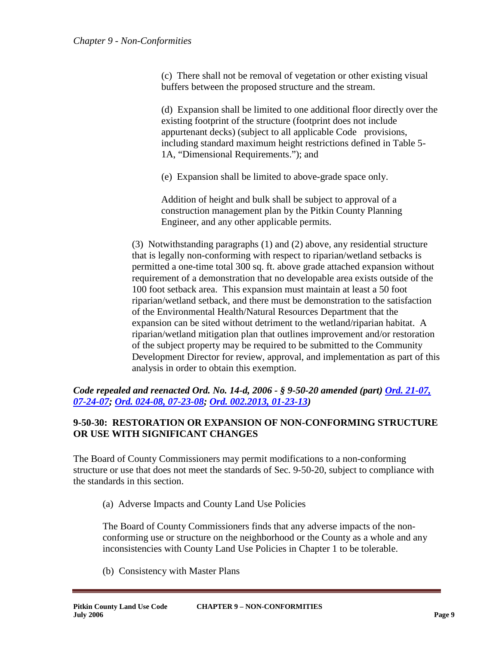(c) There shall not be removal of vegetation or other existing visual buffers between the proposed structure and the stream.

(d) Expansion shall be limited to one additional floor directly over the existing footprint of the structure (footprint does not include appurtenant decks) (subject to all applicable Code provisions, including standard maximum height restrictions defined in Table 5- 1A, "Dimensional Requirements."); and

(e) Expansion shall be limited to above-grade space only.

Addition of height and bulk shall be subject to approval of a construction management plan by the Pitkin County Planning Engineer, and any other applicable permits.

(3) Notwithstanding paragraphs (1) and (2) above, any residential structure that is legally non-conforming with respect to riparian/wetland setbacks is permitted a one-time total 300 sq. ft. above grade attached expansion without requirement of a demonstration that no developable area exists outside of the 100 foot setback area. This expansion must maintain at least a 50 foot riparian/wetland setback, and there must be demonstration to the satisfaction of the Environmental Health/Natural Resources Department that the expansion can be sited without detriment to the wetland/riparian habitat. A riparian/wetland mitigation plan that outlines improvement and/or restoration of the subject property may be required to be submitted to the Community Development Director for review, approval, and implementation as part of this analysis in order to obtain this exemption.

*Code repealed and reenacted Ord. No. 14-d, 2006 - § 9-50-20 amended (part) Ord. [21-07,](http://pitkincounty.com/DocumentCenter/View/8248)  [07-24-07;](http://pitkincounty.com/DocumentCenter/View/8248) Ord. [024-08, 07-23-08;](http://pitkincounty.com/DocumentCenter/View/8252) [Ord. 002.2013, 01-23-13\)](http://pitkincounty.com/DocumentCenter/View/8276)* 

# <span id="page-8-0"></span>**9-50-30: RESTORATION OR EXPANSION OF NON-CONFORMING STRUCTURE OR USE WITH SIGNIFICANT CHANGES**

The Board of County Commissioners may permit modifications to a non-conforming structure or use that does not meet the standards of Sec. 9-50-20, subject to compliance with the standards in this section.

(a) Adverse Impacts and County Land Use Policies

The Board of County Commissioners finds that any adverse impacts of the nonconforming use or structure on the neighborhood or the County as a whole and any inconsistencies with County Land Use Policies in Chapter 1 to be tolerable.

(b) Consistency with Master Plans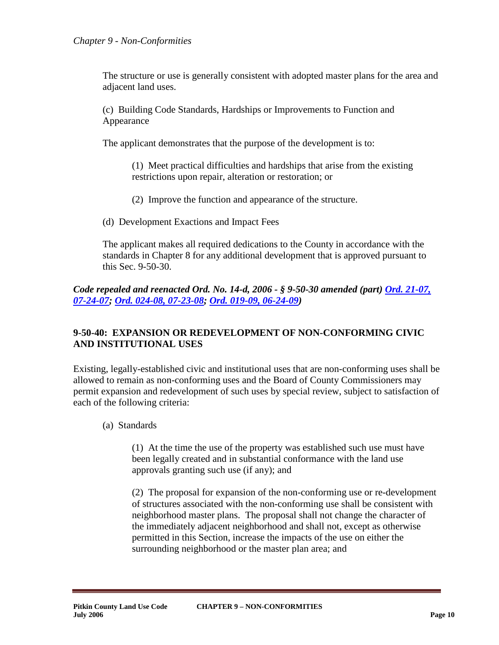The structure or use is generally consistent with adopted master plans for the area and adjacent land uses.

(c) Building Code Standards, Hardships or Improvements to Function and Appearance

The applicant demonstrates that the purpose of the development is to:

(1) Meet practical difficulties and hardships that arise from the existing restrictions upon repair, alteration or restoration; or

- (2) Improve the function and appearance of the structure.
- (d) Development Exactions and Impact Fees

The applicant makes all required dedications to the County in accordance with the standards in Chapter 8 for any additional development that is approved pursuant to this Sec. 9-50-30.

# *Code repealed and reenacted Ord. No. 14-d, 2006 - § 9-50-30 amended (part) [Ord. 21-07,](http://pitkincounty.com/DocumentCenter/View/8248)  [07-24-07;](http://pitkincounty.com/DocumentCenter/View/8248) Ord. [024-08, 07-23-08;](http://pitkincounty.com/DocumentCenter/View/8252) Ord. [019-09, 06-24-09\)](http://pitkincounty.com/DocumentCenter/View/8261)*

# <span id="page-9-0"></span>**9-50-40: EXPANSION OR REDEVELOPMENT OF NON-CONFORMING CIVIC AND INSTITUTIONAL USES**

Existing, legally-established civic and institutional uses that are non-conforming uses shall be allowed to remain as non-conforming uses and the Board of County Commissioners may permit expansion and redevelopment of such uses by special review, subject to satisfaction of each of the following criteria:

(a) Standards

(1) At the time the use of the property was established such use must have been legally created and in substantial conformance with the land use approvals granting such use (if any); and

(2) The proposal for expansion of the non-conforming use or re-development of structures associated with the non-conforming use shall be consistent with neighborhood master plans. The proposal shall not change the character of the immediately adjacent neighborhood and shall not, except as otherwise permitted in this Section, increase the impacts of the use on either the surrounding neighborhood or the master plan area; and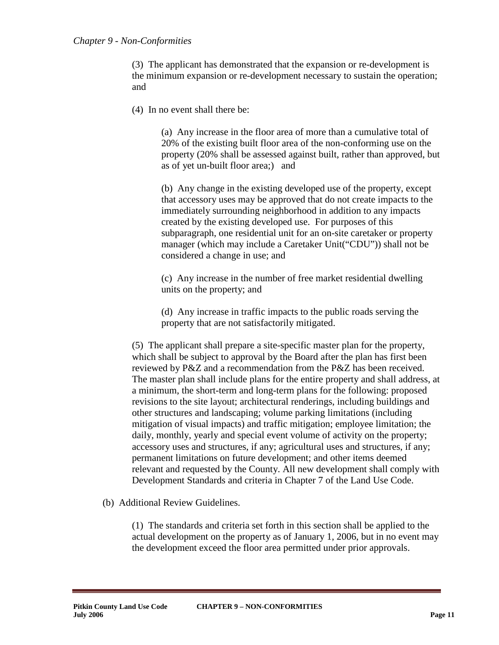(3) The applicant has demonstrated that the expansion or re-development is the minimum expansion or re-development necessary to sustain the operation; and

(4) In no event shall there be:

(a) Any increase in the floor area of more than a cumulative total of 20% of the existing built floor area of the non-conforming use on the property (20% shall be assessed against built, rather than approved, but as of yet un-built floor area;) and

(b) Any change in the existing developed use of the property, except that accessory uses may be approved that do not create impacts to the immediately surrounding neighborhood in addition to any impacts created by the existing developed use. For purposes of this subparagraph, one residential unit for an on-site caretaker or property manager (which may include a Caretaker Unit("CDU")) shall not be considered a change in use; and

(c) Any increase in the number of free market residential dwelling units on the property; and

(d) Any increase in traffic impacts to the public roads serving the property that are not satisfactorily mitigated.

(5) The applicant shall prepare a site-specific master plan for the property, which shall be subject to approval by the Board after the plan has first been reviewed by P&Z and a recommendation from the P&Z has been received. The master plan shall include plans for the entire property and shall address, at a minimum, the short-term and long-term plans for the following: proposed revisions to the site layout; architectural renderings, including buildings and other structures and landscaping; volume parking limitations (including mitigation of visual impacts) and traffic mitigation; employee limitation; the daily, monthly, yearly and special event volume of activity on the property; accessory uses and structures, if any; agricultural uses and structures, if any; permanent limitations on future development; and other items deemed relevant and requested by the County. All new development shall comply with Development Standards and criteria in Chapter 7 of the Land Use Code.

(b) Additional Review Guidelines.

(1) The standards and criteria set forth in this section shall be applied to the actual development on the property as of January 1, 2006, but in no event may the development exceed the floor area permitted under prior approvals.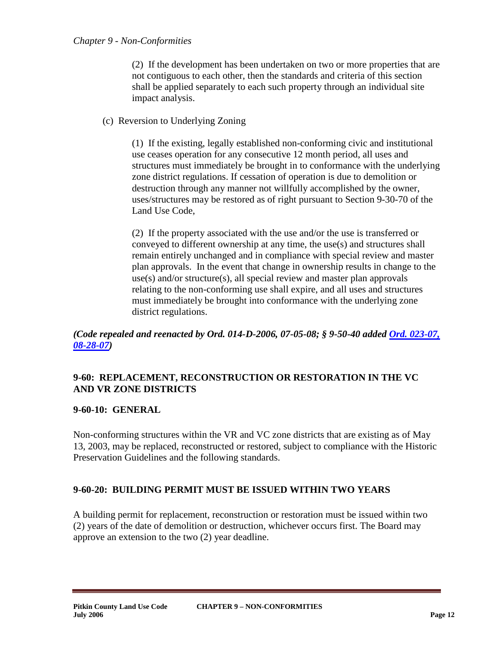(2) If the development has been undertaken on two or more properties that are not contiguous to each other, then the standards and criteria of this section shall be applied separately to each such property through an individual site impact analysis.

(c) Reversion to Underlying Zoning

(1) If the existing, legally established non-conforming civic and institutional use ceases operation for any consecutive 12 month period, all uses and structures must immediately be brought in to conformance with the underlying zone district regulations. If cessation of operation is due to demolition or destruction through any manner not willfully accomplished by the owner, uses/structures may be restored as of right pursuant to Section 9-30-70 of the Land Use Code,

(2) If the property associated with the use and/or the use is transferred or conveyed to different ownership at any time, the use(s) and structures shall remain entirely unchanged and in compliance with special review and master plan approvals. In the event that change in ownership results in change to the use(s) and/or structure(s), all special review and master plan approvals relating to the non-conforming use shall expire, and all uses and structures must immediately be brought into conformance with the underlying zone district regulations.

*(Code repealed and reenacted by Ord. 014-D-2006, 07-05-08; § 9-50-40 added Ord. [023-07,](http://pitkincounty.com/DocumentCenter/View/8249)  [08-28-07\)](http://pitkincounty.com/DocumentCenter/View/8249)*

### <span id="page-11-0"></span>**9-60: REPLACEMENT, RECONSTRUCTION OR RESTORATION IN THE VC AND VR ZONE DISTRICTS**

### <span id="page-11-1"></span>**9-60-10: GENERAL**

Non-conforming structures within the VR and VC zone districts that are existing as of May 13, 2003, may be replaced, reconstructed or restored, subject to compliance with the Historic Preservation Guidelines and the following standards.

### <span id="page-11-2"></span>**9-60-20: BUILDING PERMIT MUST BE ISSUED WITHIN TWO YEARS**

A building permit for replacement, reconstruction or restoration must be issued within two (2) years of the date of demolition or destruction, whichever occurs first. The Board may approve an extension to the two (2) year deadline.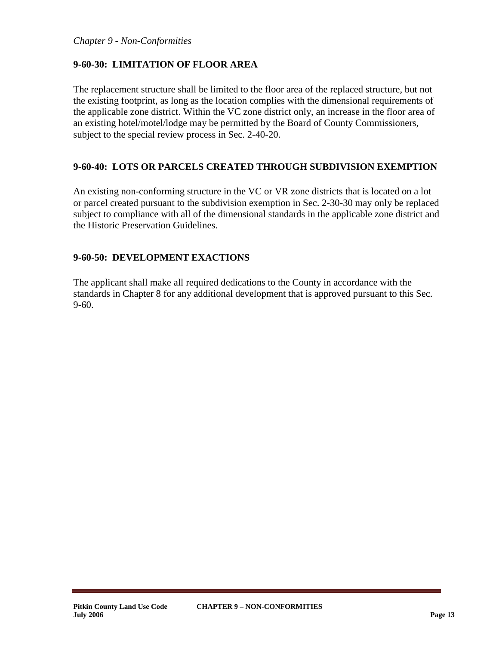#### *Chapter 9 - Non-Conformities*

# <span id="page-12-0"></span>**9-60-30: LIMITATION OF FLOOR AREA**

The replacement structure shall be limited to the floor area of the replaced structure, but not the existing footprint, as long as the location complies with the dimensional requirements of the applicable zone district. Within the VC zone district only, an increase in the floor area of an existing hotel/motel/lodge may be permitted by the Board of County Commissioners, subject to the special review process in Sec. 2-40-20.

### <span id="page-12-1"></span>**9-60-40: LOTS OR PARCELS CREATED THROUGH SUBDIVISION EXEMPTION**

An existing non-conforming structure in the VC or VR zone districts that is located on a lot or parcel created pursuant to the subdivision exemption in Sec. 2-30-30 may only be replaced subject to compliance with all of the dimensional standards in the applicable zone district and the Historic Preservation Guidelines.

### <span id="page-12-2"></span>**9-60-50: DEVELOPMENT EXACTIONS**

The applicant shall make all required dedications to the County in accordance with the standards in Chapter 8 for any additional development that is approved pursuant to this Sec. 9-60.